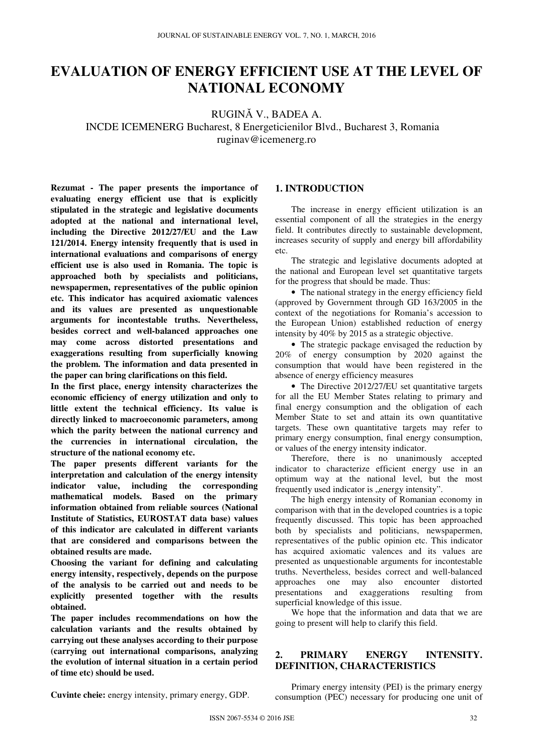# **EVALUATION OF ENERGY EFFICIENT USE AT THE LEVEL OF NATIONAL ECONOMY**

RUGINĂ V., BADEA A.

INCDE ICEMENERG Bucharest, 8 Energeticienilor Blvd., Bucharest 3, Romania ruginav@icemenerg.ro

**Rezumat - The paper presents the importance of evaluating energy efficient use that is explicitly stipulated in the strategic and legislative documents adopted at the national and international level, including the Directive 2012/27/EU and the Law 121/2014. Energy intensity frequently that is used in international evaluations and comparisons of energy efficient use is also used in Romania. The topic is approached both by specialists and politicians, newspapermen, representatives of the public opinion etc. This indicator has acquired axiomatic valences and its values are presented as unquestionable arguments for incontestable truths. Nevertheless, besides correct and well-balanced approaches one may come across distorted presentations and exaggerations resulting from superficially knowing the problem. The information and data presented in the paper can bring clarifications on this field.** 

**In the first place, energy intensity characterizes the economic efficiency of energy utilization and only to little extent the technical efficiency. Its value is directly linked to macroeconomic parameters, among which the parity between the national currency and the currencies in international circulation, the structure of the national economy etc.** 

**The paper presents different variants for the interpretation and calculation of the energy intensity indicator value, including the corresponding mathematical models. Based on the primary information obtained from reliable sources (National Institute of Statistics, EUROSTAT data base) values of this indicator are calculated in different variants that are considered and comparisons between the obtained results are made.** 

**Choosing the variant for defining and calculating energy intensity, respectively, depends on the purpose of the analysis to be carried out and needs to be explicitly presented together with the results obtained.** 

**The paper includes recommendations on how the calculation variants and the results obtained by carrying out these analyses according to their purpose (carrying out international comparisons, analyzing the evolution of internal situation in a certain period of time etc) should be used.** 

## **1. INTRODUCTION**

The increase in energy efficient utilization is an essential component of all the strategies in the energy field. It contributes directly to sustainable development, increases security of supply and energy bill affordability etc.

The strategic and legislative documents adopted at the national and European level set quantitative targets for the progress that should be made. Thus:

• The national strategy in the energy efficiency field (approved by Government through GD 163/2005 in the context of the negotiations for Romania's accession to the European Union) established reduction of energy intensity by 40% by 2015 as a strategic objective.

• The strategic package envisaged the reduction by 20% of energy consumption by 2020 against the consumption that would have been registered in the absence of energy efficiency measures

• The Directive 2012/27/EU set quantitative targets for all the EU Member States relating to primary and final energy consumption and the obligation of each Member State to set and attain its own quantitative targets. These own quantitative targets may refer to primary energy consumption, final energy consumption, or values of the energy intensity indicator.

Therefore, there is no unanimously accepted indicator to characterize efficient energy use in an optimum way at the national level, but the most frequently used indicator is "energy intensity".

The high energy intensity of Romanian economy in comparison with that in the developed countries is a topic frequently discussed. This topic has been approached both by specialists and politicians, newspapermen, representatives of the public opinion etc. This indicator has acquired axiomatic valences and its values are presented as unquestionable arguments for incontestable truths. Nevertheless, besides correct and well-balanced approaches one may also encounter distorted presentations and exaggerations resulting from superficial knowledge of this issue.

We hope that the information and data that we are going to present will help to clarify this field.

# **2. PRIMARY ENERGY INTENSITY. DEFINITION, CHARACTERISTICS**

Primary energy intensity (PEI) is the primary energy consumption (PEC) necessary for producing one unit of

**Cuvinte cheie:** energy intensity, primary energy, GDP.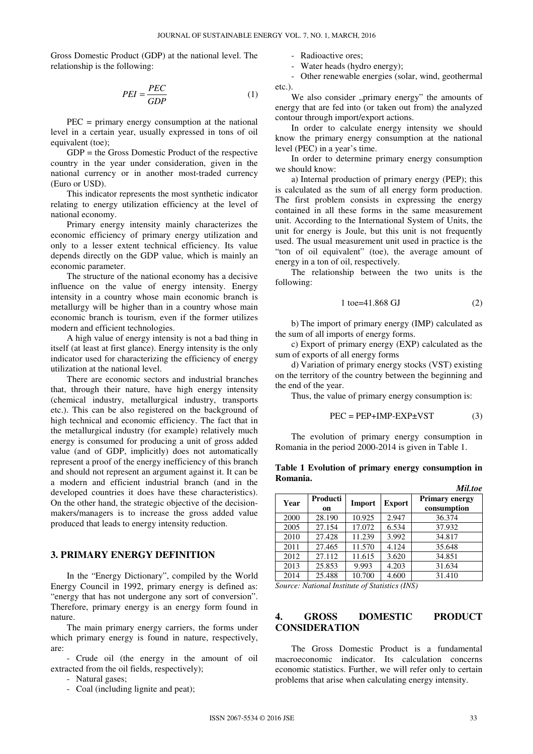Gross Domestic Product (GDP) at the national level. The relationship is the following:

$$
PEI = \frac{PEC}{GDP}
$$
 (1)

PEC = primary energy consumption at the national level in a certain year, usually expressed in tons of oil equivalent (toe);

GDP = the Gross Domestic Product of the respective country in the year under consideration, given in the national currency or in another most-traded currency (Euro or USD).

This indicator represents the most synthetic indicator relating to energy utilization efficiency at the level of national economy.

Primary energy intensity mainly characterizes the economic efficiency of primary energy utilization and only to a lesser extent technical efficiency. Its value depends directly on the GDP value, which is mainly an economic parameter.

The structure of the national economy has a decisive influence on the value of energy intensity. Energy intensity in a country whose main economic branch is metallurgy will be higher than in a country whose main economic branch is tourism, even if the former utilizes modern and efficient technologies.

A high value of energy intensity is not a bad thing in itself (at least at first glance). Energy intensity is the only indicator used for characterizing the efficiency of energy utilization at the national level.

There are economic sectors and industrial branches that, through their nature, have high energy intensity (chemical industry, metallurgical industry, transports etc.). This can be also registered on the background of high technical and economic efficiency. The fact that in the metallurgical industry (for example) relatively much energy is consumed for producing a unit of gross added value (and of GDP, implicitly) does not automatically represent a proof of the energy inefficiency of this branch and should not represent an argument against it. It can be a modern and efficient industrial branch (and in the developed countries it does have these characteristics). On the other hand, the strategic objective of the decisionmakers/managers is to increase the gross added value produced that leads to energy intensity reduction.

#### **3. PRIMARY ENERGY DEFINITION**

In the "Energy Dictionary", compiled by the World Energy Council in 1992, primary energy is defined as: "energy that has not undergone any sort of conversion". Therefore, primary energy is an energy form found in nature.

The main primary energy carriers, the forms under which primary energy is found in nature, respectively, are:

- Crude oil (the energy in the amount of oil extracted from the oil fields, respectively);

- Natural gases;
- Coal (including lignite and peat);

- Radioactive ores;

- Water heads (hydro energy);

- Other renewable energies (solar, wind, geothermal etc.).

We also consider "primary energy" the amounts of energy that are fed into (or taken out from) the analyzed contour through import/export actions.

In order to calculate energy intensity we should know the primary energy consumption at the national level (PEC) in a year's time.

In order to determine primary energy consumption we should know:

a) Internal production of primary energy (PEP); this is calculated as the sum of all energy form production. The first problem consists in expressing the energy contained in all these forms in the same measurement unit. According to the International System of Units, the unit for energy is Joule, but this unit is not frequently used. The usual measurement unit used in practice is the "ton of oil equivalent" (toe), the average amount of energy in a ton of oil, respectively.

The relationship between the two units is the following:

$$
1\ \text{toe=41.868\ GJ}\tag{2}
$$

b) The import of primary energy (IMP) calculated as the sum of all imports of energy forms.

c) Export of primary energy (EXP) calculated as the sum of exports of all energy forms

d) Variation of primary energy stocks (VST) existing on the territory of the country between the beginning and the end of the year.

Thus, the value of primary energy consumption is:

$$
PEC = PEP + IMP - EXP \pm VST
$$
 (3)

The evolution of primary energy consumption in Romania in the period 2000-2014 is given in Table 1.

|      |                 |        |               | Mil.toe                              |
|------|-----------------|--------|---------------|--------------------------------------|
| Year | Producti<br>on. | Import | <b>Export</b> | <b>Primary energy</b><br>consumption |
| 2000 | 28.190          | 10.925 | 2.947         | 36.374                               |
| 2005 | 27.154          | 17.072 | 6.534         | 37.932                               |
| 2010 | 27.428          | 11.239 | 3.992         | 34.817                               |
| 2011 | 27.465          | 11.570 | 4.124         | 35.648                               |
| 2012 | 27.112          | 11.615 | 3.620         | 34.851                               |
| 2013 | 25.853          | 9.993  | 4.203         | 31.634                               |
| 2014 | 25.488          | 10.700 | 4.600         | 31.410                               |

**Table 1 Evolution of primary energy consumption in Romania.** 

*Source: National Institute of Statistics (INS)* 

## **4. GROSS DOMESTIC PRODUCT CONSIDERATION**

The Gross Domestic Product is a fundamental macroeconomic indicator. Its calculation concerns economic statistics. Further, we will refer only to certain problems that arise when calculating energy intensity.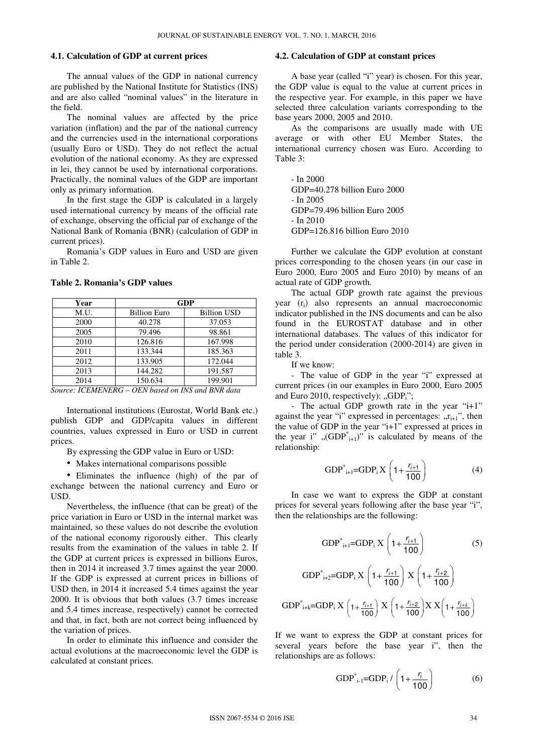#### **4.1. Calculation of GDP at current prices**

The annual values of the GDP in national currency are published by the National Institute for Statistics (INS) and are also called "nominal values" in the literature in the field.

The nominal values are affected by the price variation (inflation) and the par of the national currency and the currencies used in the international corporations (usually Euro or USD). They do not reflect the actual evolution of the national economy. As they are expressed in lei, they cannot be used by international corporations. Practically, the nominal values of the GDP are important only as primary information.

In the first stage the GDP is calculated in a largely used international currency by means of the official rate of exchange, observing the official par of exchange of the National Bank of Romania (BNR) (calculation of GDP in current prices).

Romania's GDP values in Euro and USD are given in Table 2.

|  | Table 2. Romania's GDP values |  |  |
|--|-------------------------------|--|--|
|--|-------------------------------|--|--|

| Year                                     | <b>GDP</b>          |                    |  |
|------------------------------------------|---------------------|--------------------|--|
| M.U.                                     | <b>Billion Euro</b> | <b>Billion USD</b> |  |
| 2000                                     | 40.278              | 37.053             |  |
| 2005                                     | 79.496              | 98.861             |  |
| 2010                                     | 126.816             | 167.998            |  |
| 2011                                     | 133.344             | 185.363            |  |
| 2012                                     | 133.905             | 172.044            |  |
| 2013                                     | 144.282             | 191.587            |  |
| 2014                                     | 150.634             | 199.901            |  |
| $OFML = 1 \ldots IMC = 1$ DMD $1 \ldots$ |                     |                    |  |

*Source: ICEMENERG – OEN based on INS and BNR data* 

International institutions (Eurostat, World Bank etc.) publish GDP and GDP/capita values in different countries, values expressed in Euro or USD in current prices.

By expressing the GDP value in Euro or USD:

• Makes international comparisons possible

• Eliminates the influence (high) of the par of exchange between the national currency and Euro or USD.

Nevertheless, the influence (that can be great) of the price variation in Euro or USD in the internal market was maintained, so these values do not describe the evolution of the national economy rigorously either. This clearly results from the examination of the values in table 2. If the GDP at current prices is expressed in billions Euros, then in 2014 it increased 3.7 times against the year 2000. If the GDP is expressed at current prices in billions of USD then, in 2014 it increased 5.4 times against the year 2000. It is obvious that both values (3.7 times increase and 5.4 times increase, respectively) cannot be corrected and that, in fact, both are not correct being influenced by the variation of prices.

In order to eliminate this influence and consider the actual evolutions at the macroeconomic level the GDP is calculated at constant prices.

### **4.2. Calculation of GDP at constant prices**

A base year (called "i" year) is chosen. For this year, the GDP value is equal to the value at current prices in the respective year. For example, in this paper we have selected three calculation variants corresponding to the base years 2000, 2005 and 2010.

As the comparisons are usually made with UE average or with other EU Member States, the international currency chosen was Euro. According to Table 3:

- In 2000 GDP=40.278 billion Euro 2000 - In 2005 GDP=79.496 billion Euro 2005 - In 2010 GDP=126.816 billion Euro 2010

Further we calculate the GDP evolution at constant prices corresponding to the chosen years (in our case in Euro 2000, Euro 2005 and Euro 2010) by means of an actual rate of GDP growth.

The actual GDP growth rate against the previous year (ri) also represents an annual macroeconomic indicator published in the INS documents and can be also found in the EUROSTAT database and in other international databases. The values of this indicator for the period under consideration (2000-2014) are given in table 3.

If we know:

- The value of GDP in the year "i" expressed at current prices (in our examples in Euro 2000, Euro 2005 and Euro 2010, respectively): " $GDP_i$ ";

- The actual GDP growth rate in the year "i+1" against the year "i" expressed in percentages:  $r_{i+1}$ ", then the value of GDP in the year "i+1" expressed at prices in the year i" " $(GDP^*_{i+1})$ " is calculated by means of the relationship:

GDP<sup>\*</sup><sub>i+1</sub>=GDP<sub>i</sub>X 
$$
\left(1+\frac{r_{i+1}}{100}\right)
$$
 (4)

In case we want to express the GDP at constant prices for several years following after the base year "i", then the relationships are the following:

GDP<sup>\*</sup><sub>i+1</sub>=GDP<sub>i</sub> X 
$$
\left(1 + \frac{r_{i+1}}{100}\right)
$$
 (5)

GDP<sup>\*</sup><sub>i+2</sub>=GDP<sub>i</sub> X 
$$
\left(1 + \frac{r_{i+1}}{100}\right) X \left(1 + \frac{r_{i+2}}{100}\right)
$$
  
GDP<sup>\*</sup><sub>i+k</sub>=GDP<sub>i</sub> X  $\left(1 + \frac{r_{i+1}}{100}\right) X \left(1 + \frac{r_{i+2}}{100}\right) X X \left(1 + \frac{r_{i+k}}{100}\right)$ 

If we want to express the GDP at constant prices for several years before the base year i", then the relationships are as follows:

GDP<sup>\*</sup><sub>i-1</sub>=GDP<sub>i</sub> / 
$$
\left(1 + \frac{r_i}{100}\right)
$$
 (6)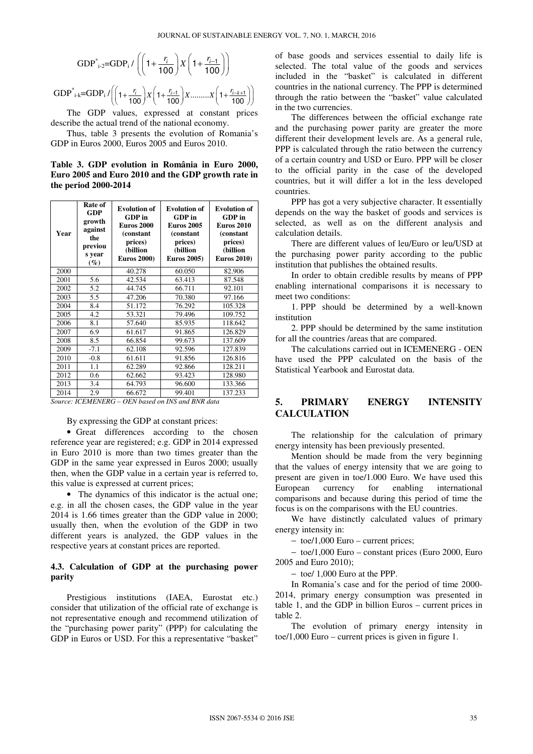GDP<sup>\*</sup><sub>i-2</sub>=GDP<sub>i</sub> / 
$$
\left(\left(1+\frac{r_i}{100}\right)X\left(1+\frac{r_{i-1}}{100}\right)\right)
$$

 $GDP^*_{1-k} = GDP_1 / \left( \left( 1 + \frac{r_i}{100} \right) X \left( 1 + \frac{r_{i-1}}{100} \right) X \dots \dots \dots X \left( 1 + \frac{r_{i-k+1}}{100} \right) \right)$  $\left( \left( 1 + \frac{r_i}{100} \right) X \left( 1 + \frac{r_{i-1}}{100} \right) X \dots X \left( 1 + \frac{r_{i-k+1}}{100} \right) \right)$ 

The GDP values, expressed at constant prices describe the actual trend of the national economy.

Thus, table 3 presents the evolution of Romania's GDP in Euros 2000, Euros 2005 and Euros 2010.

**Table 3. GDP evolution in România in Euro 2000, Euro 2005 and Euro 2010 and the GDP growth rate in the period 2000-2014** 

| Year | Rate of<br>GDP<br>growth<br>against<br>the<br>previou<br>s year<br>$(\%)$ | <b>Evolution of</b><br>GDP in<br><b>Euros 2000</b><br>(constant<br>prices)<br>(billion<br><b>Euros 2000)</b> | <b>Evolution of</b><br>GDP in<br><b>Euros 2005</b><br>(constant)<br>prices)<br>(billion<br><b>Euros 2005)</b> | <b>Evolution of</b><br>GDP in<br><b>Euros 2010</b><br>(constant)<br>prices)<br>(billion<br><b>Euros 2010)</b> |
|------|---------------------------------------------------------------------------|--------------------------------------------------------------------------------------------------------------|---------------------------------------------------------------------------------------------------------------|---------------------------------------------------------------------------------------------------------------|
| 2000 |                                                                           | 40.278                                                                                                       | 60.050                                                                                                        | 82.906                                                                                                        |
| 2001 | 5.6                                                                       | 42.534                                                                                                       | 63.413                                                                                                        | 87.548                                                                                                        |
| 2002 | 5.2                                                                       | 44.745                                                                                                       | 66.711                                                                                                        | 92.101                                                                                                        |
| 2003 | 5.5                                                                       | 47.206                                                                                                       | 70.380                                                                                                        | 97.166                                                                                                        |
| 2004 | 8.4                                                                       | 51.172                                                                                                       | 76.292                                                                                                        | 105.328                                                                                                       |
| 2005 | 4.2                                                                       | 53.321                                                                                                       | 79.496                                                                                                        | 109.752                                                                                                       |
| 2006 | 8.1                                                                       | 57.640                                                                                                       | 85.935                                                                                                        | 118.642                                                                                                       |
| 2007 | 6.9                                                                       | 61.617                                                                                                       | 91.865                                                                                                        | 126.829                                                                                                       |
| 2008 | 8.5                                                                       | 66.854                                                                                                       | 99.673                                                                                                        | 137.609                                                                                                       |
| 2009 | $-7.1$                                                                    | 62.108                                                                                                       | 92.596                                                                                                        | 127.839                                                                                                       |
| 2010 | $-0.8$                                                                    | 61.611                                                                                                       | 91.856                                                                                                        | 126.816                                                                                                       |
| 2011 | 1.1                                                                       | 62.289                                                                                                       | 92.866                                                                                                        | 128.211                                                                                                       |
| 2012 | 0.6                                                                       | 62.662                                                                                                       | 93.423                                                                                                        | 128.980                                                                                                       |
| 2013 | 3.4                                                                       | 64.793                                                                                                       | 96.600                                                                                                        | 133.366                                                                                                       |
| 2014 | 2.9                                                                       | 66.672                                                                                                       | 99.401                                                                                                        | 137.233                                                                                                       |

*Source: ICEMENERG – OEN based on INS and BNR data* 

By expressing the GDP at constant prices:

• Great differences according to the chosen reference year are registered; e.g. GDP in 2014 expressed in Euro 2010 is more than two times greater than the GDP in the same year expressed in Euros 2000; usually then, when the GDP value in a certain year is referred to, this value is expressed at current prices;

• The dynamics of this indicator is the actual one; e.g. in all the chosen cases, the GDP value in the year 2014 is 1.66 times greater than the GDP value in 2000; usually then, when the evolution of the GDP in two different years is analyzed, the GDP values in the respective years at constant prices are reported.

#### **4.3. Calculation of GDP at the purchasing power parity**

Prestigious institutions (IAEA, Eurostat etc.) consider that utilization of the official rate of exchange is not representative enough and recommend utilization of the "purchasing power parity" (PPP) for calculating the GDP in Euros or USD. For this a representative "basket"

of base goods and services essential to daily life is selected. The total value of the goods and services included in the "basket" is calculated in different countries in the national currency. The PPP is determined through the ratio between the "basket" value calculated in the two currencies.

The differences between the official exchange rate and the purchasing power parity are greater the more different their development levels are. As a general rule, PPP is calculated through the ratio between the currency of a certain country and USD or Euro. PPP will be closer to the official parity in the case of the developed countries, but it will differ a lot in the less developed countries.

PPP has got a very subjective character. It essentially depends on the way the basket of goods and services is selected, as well as on the different analysis and calculation details.

There are different values of leu/Euro or leu/USD at the purchasing power parity according to the public institution that publishes the obtained results.

In order to obtain credible results by means of PPP enabling international comparisons it is necessary to meet two conditions:

1. PPP should be determined by a well-known institution

2. PPP should be determined by the same institution for all the countries /areas that are compared.

The calculations carried out in ICEMENERG - OEN have used the PPP calculated on the basis of the Statistical Yearbook and Eurostat data.

## **5. PRIMARY ENERGY INTENSITY CALCULATION**

The relationship for the calculation of primary energy intensity has been previously presented.

Mention should be made from the very beginning that the values of energy intensity that we are going to present are given in toe/1.000 Euro. We have used this European currency for enabling international comparisons and because during this period of time the focus is on the comparisons with the EU countries.

We have distinctly calculated values of primary energy intensity in:

− toe/1,000 Euro – current prices;

− toe/1,000 Euro – constant prices (Euro 2000, Euro 2005 and Euro 2010);

− toe/ 1,000 Euro at the PPP.

In Romania's case and for the period of time 2000- 2014, primary energy consumption was presented in table 1, and the GDP in billion Euros – current prices in table 2.

The evolution of primary energy intensity in toe/1,000 Euro – current prices is given in figure 1.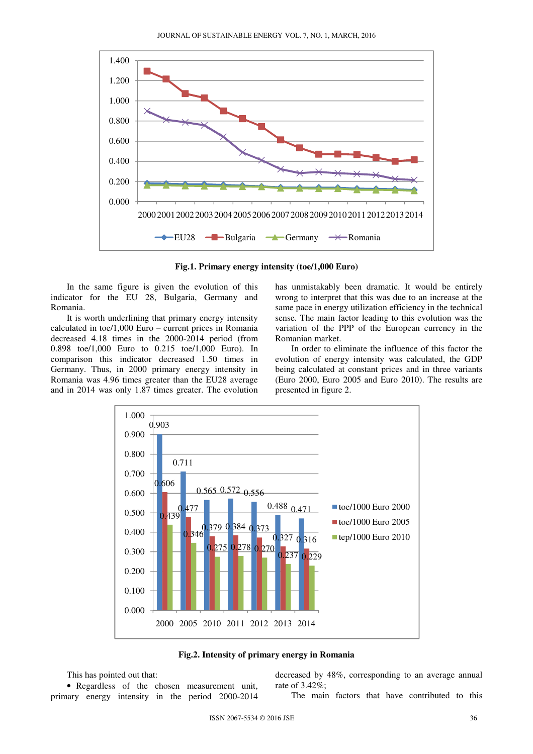

**Fig.1. Primary energy intensity (toe/1,000 Euro)** 

In the same figure is given the evolution of this indicator for the EU 28, Bulgaria, Germany and Romania.

It is worth underlining that primary energy intensity calculated in toe/1,000 Euro – current prices in Romania decreased 4.18 times in the 2000-2014 period (from 0.898 toe/1,000 Euro to 0.215 toe/1,000 Euro). In comparison this indicator decreased 1.50 times in Germany. Thus, in 2000 primary energy intensity in Romania was 4.96 times greater than the EU28 average and in 2014 was only 1.87 times greater. The evolution has unmistakably been dramatic. It would be entirely wrong to interpret that this was due to an increase at the same pace in energy utilization efficiency in the technical sense. The main factor leading to this evolution was the variation of the PPP of the European currency in the Romanian market.

In order to eliminate the influence of this factor the evolution of energy intensity was calculated, the GDP being calculated at constant prices and in three variants (Euro 2000, Euro 2005 and Euro 2010). The results are presented in figure 2.



**Fig.2. Intensity of primary energy in Romania** 

This has pointed out that:

• Regardless of the chosen measurement unit, primary energy intensity in the period 2000-2014

decreased by 48%, corresponding to an average annual rate of 3.42%;

The main factors that have contributed to this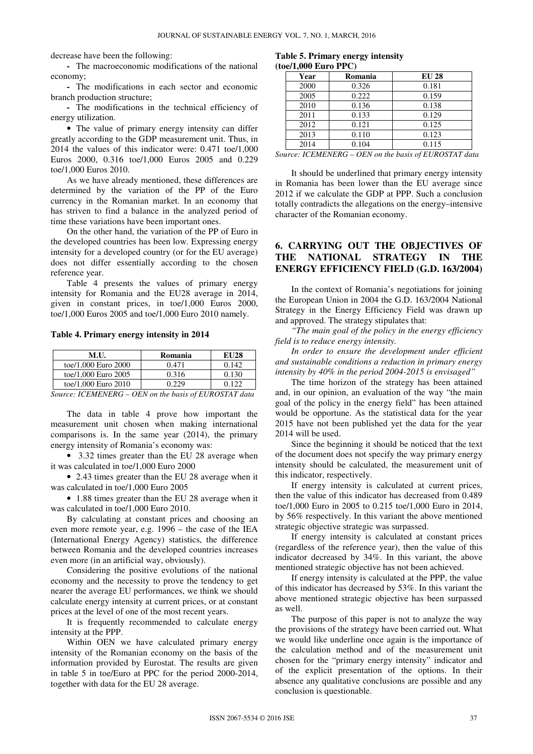decrease have been the following:

**-** The macroeconomic modifications of the national economy;

**-** The modifications in each sector and economic branch production structure;

**-** The modifications in the technical efficiency of energy utilization.

• The value of primary energy intensity can differ greatly according to the GDP measurement unit. Thus, in 2014 the values of this indicator were: 0.471 toe/1,000 Euros 2000, 0.316 toe/1,000 Euros 2005 and 0.229 toe/1,000 Euros 2010.

As we have already mentioned, these differences are determined by the variation of the PP of the Euro currency in the Romanian market. In an economy that has striven to find a balance in the analyzed period of time these variations have been important ones.

On the other hand, the variation of the PP of Euro in the developed countries has been low. Expressing energy intensity for a developed country (or for the EU average) does not differ essentially according to the chosen reference year.

Table 4 presents the values of primary energy intensity for Romania and the EU28 average in 2014, given in constant prices, in toe/1,000 Euros 2000, toe/1,000 Euros 2005 and toe/1,000 Euro 2010 namely.

#### **Table 4. Primary energy intensity in 2014**

| M.U.                                         | Romania       | <b>EU28</b> |
|----------------------------------------------|---------------|-------------|
| toe/1,000 Euro 2000                          | 0.471         | 0.142       |
| toe/1,000 Euro 2005                          | 0.316         | 0.130       |
| toe/1,000 Euro 2010                          | በ 229         | 0.122       |
| $\sim$<br>$\sim$ where $\sim$<br>----------- | $\sim$ $\sim$ | ----------- |

*Source: ICEMENERG – OEN on the basis of EUROSTAT data* 

The data in table 4 prove how important the measurement unit chosen when making international comparisons is. In the same year (2014), the primary energy intensity of Romania's economy was:

• 3.32 times greater than the EU 28 average when it was calculated in toe/1,000 Euro 2000

• 2.43 times greater than the EU 28 average when it was calculated in toe/1,000 Euro 2005

• 1.88 times greater than the EU 28 average when it was calculated in toe/1,000 Euro 2010.

By calculating at constant prices and choosing an even more remote year, e.g. 1996 – the case of the IEA (International Energy Agency) statistics, the difference between Romania and the developed countries increases even more (in an artificial way, obviously).

Considering the positive evolutions of the national economy and the necessity to prove the tendency to get nearer the average EU performances, we think we should calculate energy intensity at current prices, or at constant prices at the level of one of the most recent years.

It is frequently recommended to calculate energy intensity at the PPP.

Within OEN we have calculated primary energy intensity of the Romanian economy on the basis of the information provided by Eurostat. The results are given in table 5 in toe/Euro at PPC for the period 2000-2014, together with data for the EU 28 average.

|  |                         | Table 5. Primary energy intensity |
|--|-------------------------|-----------------------------------|
|  | $(toe/1,000)$ Euro PPC) |                                   |

| Year | Romania | <b>EU 28</b> |
|------|---------|--------------|
| 2000 | 0.326   | 0.181        |
| 2005 | 0.222   | 0.159        |
| 2010 | 0.136   | 0.138        |
| 2011 | 0.133   | 0.129        |
| 2012 | 0.121   | 0.125        |
| 2013 | 0.110   | 0.123        |
| 2014 | 0.104   | 0.115        |

*Source: ICEMENERG – OEN on the basis of EUROSTAT data* 

It should be underlined that primary energy intensity in Romania has been lower than the EU average since 2012 if we calculate the GDP at PPP. Such a conclusion totally contradicts the allegations on the energy–intensive character of the Romanian economy.

# **6. CARRYING OUT THE OBJECTIVES OF THE NATIONAL STRATEGY IN THE ENERGY EFFICIENCY FIELD (G.D. 163/2004)**

In the context of Romania's negotiations for joining the European Union in 2004 the G.D. 163/2004 National Strategy in the Energy Efficiency Field was drawn up and approved. The strategy stipulates that:

*"The main goal of the policy in the energy efficiency field is to reduce energy intensity.* 

*In order to ensure the development under efficient and sustainable conditions a reduction in primary energy intensity by 40% in the period 2004-2015 is envisaged"* 

The time horizon of the strategy has been attained and, in our opinion, an evaluation of the way "the main goal of the policy in the energy field" has been attained would be opportune. As the statistical data for the year 2015 have not been published yet the data for the year 2014 will be used.

Since the beginning it should be noticed that the text of the document does not specify the way primary energy intensity should be calculated, the measurement unit of this indicator, respectively.

If energy intensity is calculated at current prices, then the value of this indicator has decreased from 0.489 toe/1,000 Euro in 2005 to 0.215 toe/1,000 Euro in 2014, by 56% respectively. In this variant the above mentioned strategic objective strategic was surpassed.

If energy intensity is calculated at constant prices (regardless of the reference year), then the value of this indicator decreased by 34%. In this variant, the above mentioned strategic objective has not been achieved.

If energy intensity is calculated at the PPP, the value of this indicator has decreased by 53%. In this variant the above mentioned strategic objective has been surpassed as well.

The purpose of this paper is not to analyze the way the provisions of the strategy have been carried out. What we would like underline once again is the importance of the calculation method and of the measurement unit chosen for the "primary energy intensity" indicator and of the explicit presentation of the options. In their absence any qualitative conclusions are possible and any conclusion is questionable.